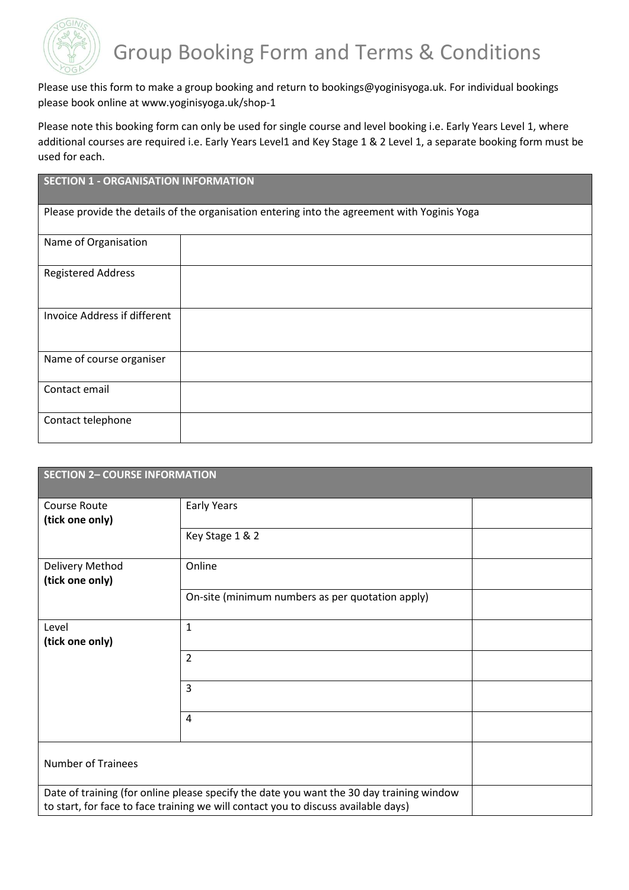

Please use this form to make a group booking and return to bookings@yoginisyoga.uk. For individual bookings please book online at www.yoginisyoga.uk/shop-1

Please note this booking form can only be used for single course and level booking i.e. Early Years Level 1, where additional courses are required i.e. Early Years Level1 and Key Stage 1 & 2 Level 1, a separate booking form must be used for each.

# **SECTION 1 - ORGANISATION INFORMATION**

Please provide the details of the organisation entering into the agreement with Yoginis Yoga

| Name of Organisation         |  |
|------------------------------|--|
| <b>Registered Address</b>    |  |
| Invoice Address if different |  |
| Name of course organiser     |  |
| Contact email                |  |
| Contact telephone            |  |

| <b>SECTION 2- COURSE INFORMATION</b>                                                                                                                                           |                                                  |  |  |
|--------------------------------------------------------------------------------------------------------------------------------------------------------------------------------|--------------------------------------------------|--|--|
| Course Route<br>(tick one only)                                                                                                                                                | Early Years                                      |  |  |
|                                                                                                                                                                                | Key Stage 1 & 2                                  |  |  |
| Delivery Method<br>(tick one only)                                                                                                                                             | Online                                           |  |  |
|                                                                                                                                                                                | On-site (minimum numbers as per quotation apply) |  |  |
| Level<br>(tick one only)                                                                                                                                                       | $\mathbf{1}$                                     |  |  |
|                                                                                                                                                                                | $\overline{2}$                                   |  |  |
|                                                                                                                                                                                | $\overline{3}$                                   |  |  |
|                                                                                                                                                                                | $\overline{4}$                                   |  |  |
| <b>Number of Trainees</b>                                                                                                                                                      |                                                  |  |  |
| Date of training (for online please specify the date you want the 30 day training window<br>to start, for face to face training we will contact you to discuss available days) |                                                  |  |  |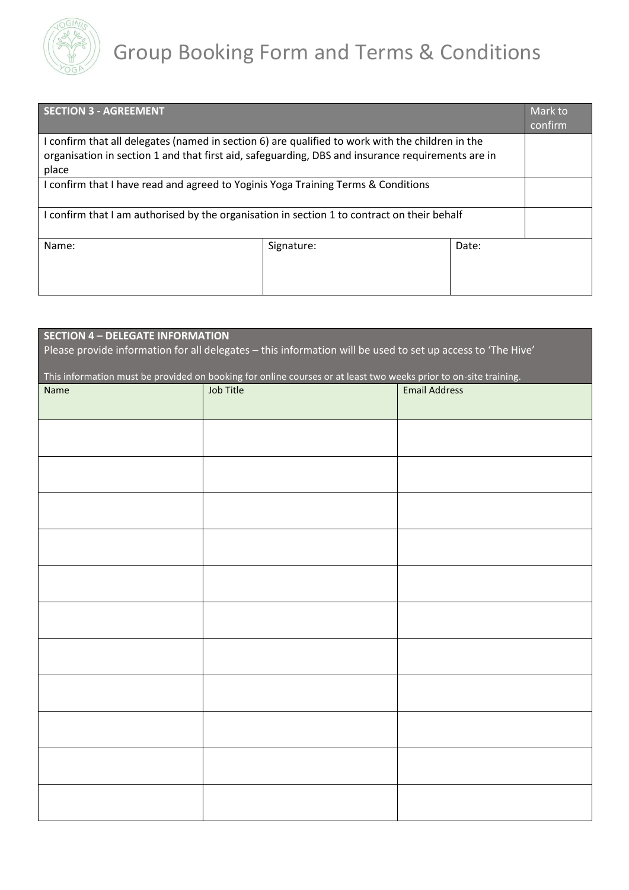

| <b>SECTION 3 - AGREEMENT</b>                                                                      |            |       | Mark to<br>confirm |  |
|---------------------------------------------------------------------------------------------------|------------|-------|--------------------|--|
| I confirm that all delegates (named in section 6) are qualified to work with the children in the  |            |       |                    |  |
| organisation in section 1 and that first aid, safeguarding, DBS and insurance requirements are in |            |       |                    |  |
| place                                                                                             |            |       |                    |  |
| I confirm that I have read and agreed to Yoginis Yoga Training Terms & Conditions                 |            |       |                    |  |
| I confirm that I am authorised by the organisation in section 1 to contract on their behalf       |            |       |                    |  |
| Name:                                                                                             | Signature: | Date: |                    |  |

| <b>SECTION 4 - DELEGATE INFORMATION</b><br>Please provide information for all delegates - this information will be used to set up access to 'The Hive' |           |                      |  |  |  |
|--------------------------------------------------------------------------------------------------------------------------------------------------------|-----------|----------------------|--|--|--|
| This information must be provided on booking for online courses or at least two weeks prior to on-site training.                                       |           |                      |  |  |  |
| Name                                                                                                                                                   | Job Title | <b>Email Address</b> |  |  |  |
|                                                                                                                                                        |           |                      |  |  |  |
|                                                                                                                                                        |           |                      |  |  |  |
|                                                                                                                                                        |           |                      |  |  |  |
|                                                                                                                                                        |           |                      |  |  |  |
|                                                                                                                                                        |           |                      |  |  |  |
|                                                                                                                                                        |           |                      |  |  |  |
|                                                                                                                                                        |           |                      |  |  |  |
|                                                                                                                                                        |           |                      |  |  |  |
|                                                                                                                                                        |           |                      |  |  |  |
|                                                                                                                                                        |           |                      |  |  |  |
|                                                                                                                                                        |           |                      |  |  |  |
|                                                                                                                                                        |           |                      |  |  |  |
|                                                                                                                                                        |           |                      |  |  |  |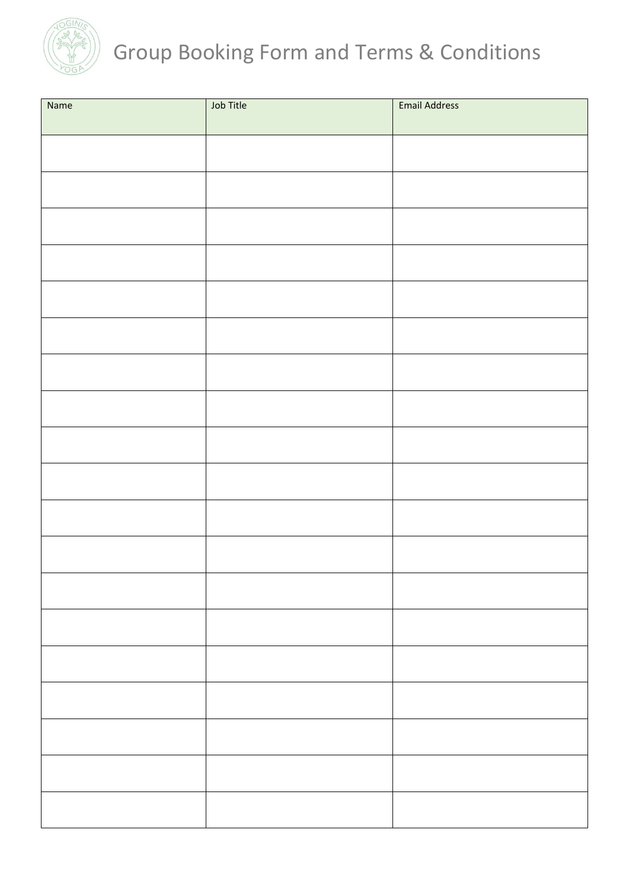

# Group Booking Form and Terms & Conditions

| Name | Job Title | <b>Email Address</b> |
|------|-----------|----------------------|
|      |           |                      |
|      |           |                      |
|      |           |                      |
|      |           |                      |
|      |           |                      |
|      |           |                      |
|      |           |                      |
|      |           |                      |
|      |           |                      |
|      |           |                      |
|      |           |                      |
|      |           |                      |
|      |           |                      |
|      |           |                      |
|      |           |                      |
|      |           |                      |
|      |           |                      |
|      |           |                      |
|      |           |                      |
|      |           |                      |
|      |           |                      |
|      |           |                      |
|      |           |                      |
|      |           |                      |
|      |           |                      |
|      |           |                      |
|      |           |                      |
|      |           |                      |
|      |           |                      |
|      |           |                      |
|      |           |                      |
|      |           |                      |
|      |           |                      |
|      |           |                      |
|      |           |                      |
|      |           |                      |
|      |           |                      |
|      |           |                      |
|      |           |                      |
|      |           |                      |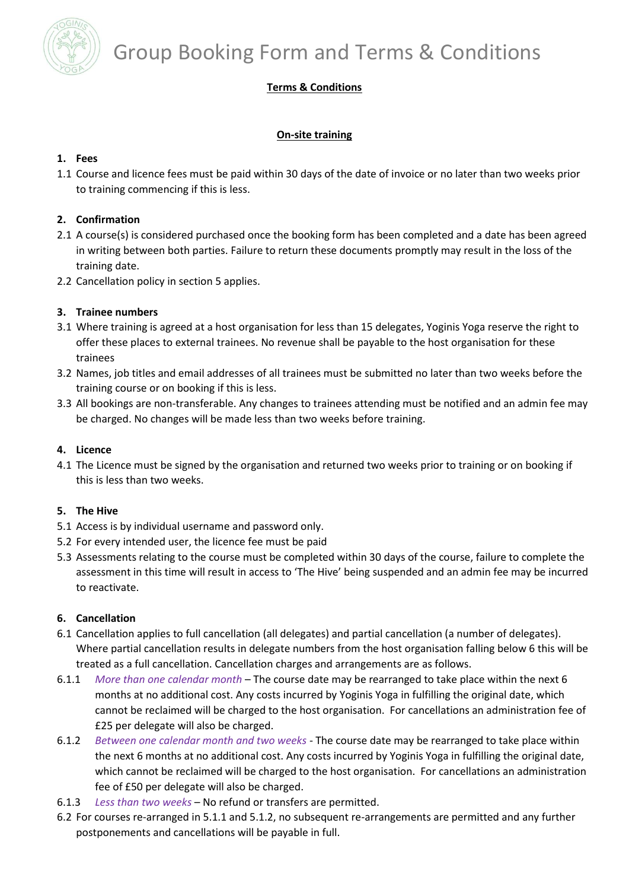

# Group Booking Form and Terms & Conditions

# **Terms & Conditions**

# **On-site training**

### **1. Fees**

1.1 Course and licence fees must be paid within 30 days of the date of invoice or no later than two weeks prior to training commencing if this is less.

## **2. Confirmation**

- 2.1 A course(s) is considered purchased once the booking form has been completed and a date has been agreed in writing between both parties. Failure to return these documents promptly may result in the loss of the training date.
- 2.2 Cancellation policy in section 5 applies.

### **3. Trainee numbers**

- 3.1 Where training is agreed at a host organisation for less than 15 delegates, Yoginis Yoga reserve the right to offer these places to external trainees. No revenue shall be payable to the host organisation for these trainees
- 3.2 Names, job titles and email addresses of all trainees must be submitted no later than two weeks before the training course or on booking if this is less.
- 3.3 All bookings are non-transferable. Any changes to trainees attending must be notified and an admin fee may be charged. No changes will be made less than two weeks before training.

#### **4. Licence**

4.1 The Licence must be signed by the organisation and returned two weeks prior to training or on booking if this is less than two weeks.

#### **5. The Hive**

- 5.1 Access is by individual username and password only.
- 5.2 For every intended user, the licence fee must be paid
- 5.3 Assessments relating to the course must be completed within 30 days of the course, failure to complete the assessment in this time will result in access to 'The Hive' being suspended and an admin fee may be incurred to reactivate.

#### **6. Cancellation**

- 6.1 Cancellation applies to full cancellation (all delegates) and partial cancellation (a number of delegates). Where partial cancellation results in delegate numbers from the host organisation falling below 6 this will be treated as a full cancellation. Cancellation charges and arrangements are as follows.
- 6.1.1 *More than one calendar month* The course date may be rearranged to take place within the next 6 months at no additional cost. Any costs incurred by Yoginis Yoga in fulfilling the original date, which cannot be reclaimed will be charged to the host organisation. For cancellations an administration fee of £25 per delegate will also be charged.
- 6.1.2 *Between one calendar month and two weeks* The course date may be rearranged to take place within the next 6 months at no additional cost. Any costs incurred by Yoginis Yoga in fulfilling the original date, which cannot be reclaimed will be charged to the host organisation. For cancellations an administration fee of £50 per delegate will also be charged.
- 6.1.3 *Less than two weeks* No refund or transfers are permitted.
- 6.2 For courses re-arranged in 5.1.1 and 5.1.2, no subsequent re-arrangements are permitted and any further postponements and cancellations will be payable in full.